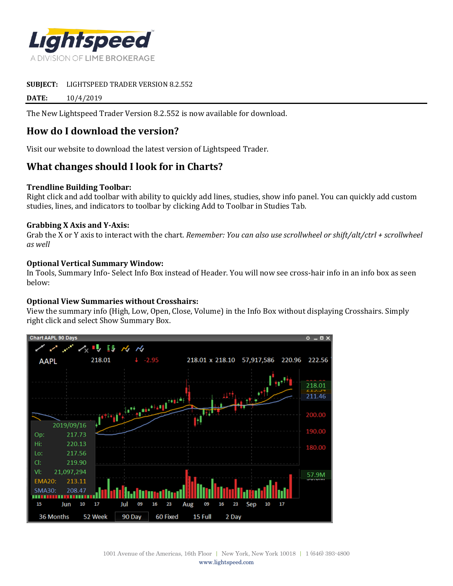

**SUBJECT:** LIGHTSPEED TRADER VERSION 8.2.552

**DATE:** 10/4/2019

The New Lightspeed Trader Version 8.2.552 is now available for download.

# **How do I download the version?**

Visit our website to download the latest version of Lightspeed Trader.

# **What changes should I look for in Charts?**

#### **Trendline Building Toolbar:**

Right click and add toolbar with ability to quickly add lines, studies, show info panel. You can quickly add custom studies, lines, and indicators to toolbar by clicking Add to Toolbar in Studies Tab.

#### **Grabbing X Axis and Y-Axis:**

Grab the X or Y axis to interact with the chart. *Remember: You can also use scrollwheel or shift/alt/ctrl + scrollwheel as well*

### **Optional Vertical Summary Window:**

In Tools, Summary Info- Select Info Box instead of Header. You will now see cross-hair info in an info box as seen below:

### **Optional View Summaries without Crosshairs:**

View the summary info (High, Low, Open, Close, Volume) in the Info Box without displaying Crosshairs. Simply right click and select Show Summary Box.